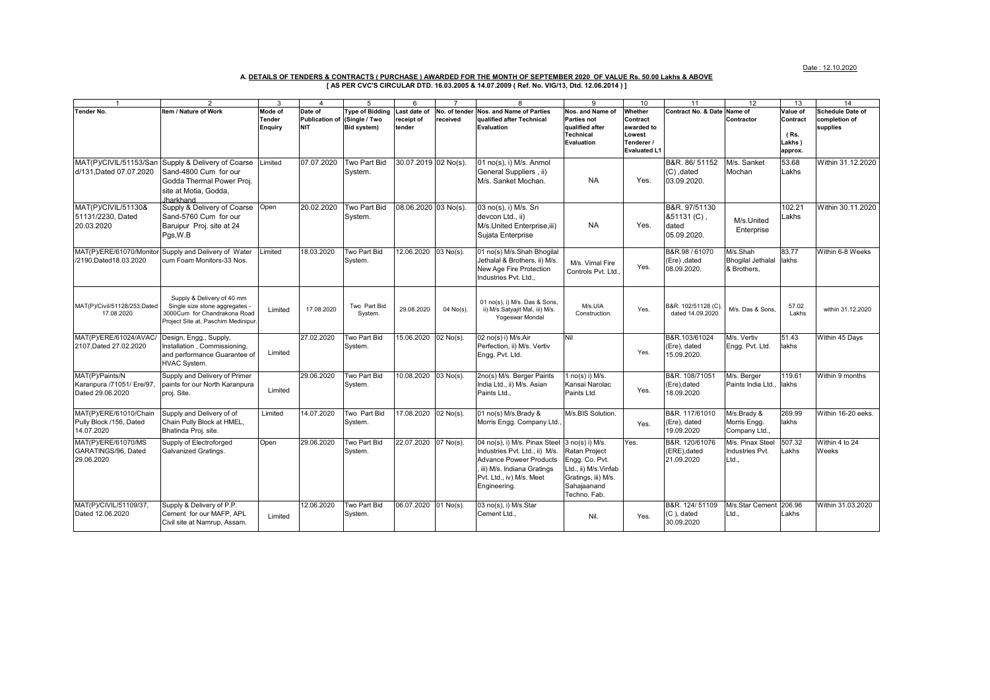Date : 12.10.2020

## A. <u>DETAILS OF TENDERS & CONTRACTS ( PURCHASE ) AWARDED FOR THE MONTH OF SEPTEMBER 2020 OF VALUE Rs. 50.00 Lakhs & ABOVE<br>[ AS PER CVC'S CIRCULAR DTD. 16.03.2005 & 14.07.2009 ( Ref. No. VIG/13, Dtd. 12.06.2014 ) ]</u>

| $\overline{1}$                                                   |                                                                                                                                     | 3                        | 4                                   | 5                                   | 6                    |               | 8                                                                                                                                                                           | g                                                                                                                                | 10                                                                    | 11                                                  | 12                                                  | 13                                    | 14                        |
|------------------------------------------------------------------|-------------------------------------------------------------------------------------------------------------------------------------|--------------------------|-------------------------------------|-------------------------------------|----------------------|---------------|-----------------------------------------------------------------------------------------------------------------------------------------------------------------------------|----------------------------------------------------------------------------------------------------------------------------------|-----------------------------------------------------------------------|-----------------------------------------------------|-----------------------------------------------------|---------------------------------------|---------------------------|
| <b>Tender No.</b>                                                | Item / Nature of Work                                                                                                               | Mode of                  | Date of                             | vpe of Bidding                      | Last date of         | No. of tender | <b>Nos. and Name of Parties</b>                                                                                                                                             | Nos. and Name of                                                                                                                 | Whether                                                               | <b>Contract No. &amp; Date</b>                      | Name of                                             | Value of                              | <b>Schedule Date of</b>   |
|                                                                  |                                                                                                                                     | <b>Tender</b><br>Enguiry | <b>Publication of</b><br><b>NIT</b> | (Single / Two<br><b>Bid system)</b> | receipt of<br>tender | received      | qualified after Technical<br>Evaluation                                                                                                                                     | Parties not<br>qualified after<br>Technical<br>Evaluation                                                                        | Contract<br>awarded to<br>Lowest<br>Tenderer /<br><b>Evaluated L1</b> |                                                     | Contractor                                          | Contract<br>(Rs.<br>Lakhs)<br>approx. | completion of<br>supplies |
| MAT(P)/CIVIL/51153/San<br>d/131.Dated 07.07.2020                 | Supply & Delivery of Coarse<br>Sand-4800 Cum for our<br>Godda Thermal Power Proj.<br>site at Motia, Godda,<br>Jharkhand             | Limited                  | 07.07.2020                          | Two Part Bid<br>System.             | 30.07.2019 02 No(s). |               | 01 no(s), i) M/s. Anmol<br>General Suppliers, ii)<br>M/s. Sanket Mochan.                                                                                                    | <b>NA</b>                                                                                                                        | Yes.                                                                  | B&R. 86/51152<br>$(C)$ , dated<br>03.09.2020.       | M/s. Sanket<br>Mochan                               | 53.68<br>Lakhs                        | Within 31.12.2020         |
| MAT(P)/CIVIL/51130&<br>51131/2230, Dated<br>20.03.2020           | Supply & Delivery of Coarse<br>Sand-5760 Cum for our<br>Baruipur Proj. site at 24<br>Pgs, W.B                                       | Open                     | 20.02.2020                          | Two Part Bid<br>System.             | 08.06.2020 03 No(s). |               | 03 no(s), i) M/s. Sri<br>devcon Ltd., ii)<br>M/s.United Enterprise, iii)<br>Sujata Enterprise                                                                               | <b>NA</b>                                                                                                                        | Yes.                                                                  | B&R. 97/51130<br>&51131(C),<br>dated<br>05.09.2020. | M/s.United<br>Enterprise                            | 102.21<br>Lakhs                       | Within 30.11.2020         |
| MAT(P)/ERE/61070/Monitor<br>/2190.Dated18.03.2020                | Supply and Delivery of Water<br>cum Foam Monitors-33 Nos.                                                                           | imited                   | 18.03.2020                          | Two Part Bid<br>System.             | 12.06.2020 03 No(s). |               | 01 no(s) M/s.Shah Bhogilal<br>Jethalal & Brothers, ii) M/s.<br>New Age Fire Protection<br>Industries Pvt. Ltd                                                               | M/s. Vimal Fire<br>Controls Pvt. Ltd.                                                                                            | Yes.                                                                  | B&R.98 / 61070<br>(Ere), dated<br>08.09.2020.       | M/s.Shah<br><b>Bhogilal Jethalal</b><br>& Brothers, | 83.77<br>lakhs                        | Within 6-8 Weeks          |
| MAT(P)/Civil/51128/253,Dated<br>17.08.2020                       | Supply & Delivery of 40 mm<br>Single size stone aggregates -<br>3000Cum for Chandrakona Road<br>Project Site at, Paschim Medinipur. | Limited                  | 17.08.2020                          | Two Part Bid<br>System.             | 29.08.2020           | 04 No(s).     | 01 no(s), i) M/s. Das & Sons.<br>ii) M/s.Satyajit Mal, iii) M/s.<br>Yogeswar Mondal                                                                                         | M/s.UIA<br>Construction.                                                                                                         | Yes.                                                                  | B&R. 102/51128 (C)<br>dated 14.09.2020              | M/s. Das & Sons.                                    | 57.02<br>Lakhs                        | within 31.12.2020         |
| MAT(P)/ERE/61024/AVAC/<br>2107.Dated 27.02.2020                  | Design, Engg., Supply,<br>Installation, Commissioning.<br>and performance Guarantee of<br>HVAC System.                              | Limited                  | 27.02.2020                          | Two Part Bid<br>System.             | 15.06.2020 02 No(s). |               | 02 no(s) i) M/s.Air<br>Perfection, ii) M/s. Vertiv<br>Engg. Pvt. Ltd.                                                                                                       | Nil                                                                                                                              | Yes.                                                                  | B&R.103/61024<br>(Ere), dated<br>15.09.2020.        | M/s. Vertiv<br>Engg. Pvt. Ltd.                      | 51.43<br>lakhs                        | Within 45 Days            |
| MAT(P)/Paints/N<br>Karanpura /71051/ Ere/97,<br>Dated 29.06.2020 | Supply and Delivery of Primer<br>paints for our North Karanpura<br>proj. Site.                                                      | Limited                  | 29.06.2020                          | Two Part Bid<br>System.             | 10.08.2020 03 No(s). |               | 2no(s) M/s. Berger Paints<br>India Ltd., ii) M/s. Asian<br>Paints Ltd                                                                                                       | 1 $no(s)$ i) M/s.<br>Kansai Narolac<br>Paints Ltd.                                                                               | Yes.                                                                  | B&R. 108/71051<br>(Ere),dated<br>18.09.2020         | M/s. Berger<br>Paints India Ltd., lakhs             | 119.61                                | Within 9 months           |
| MAT(P)/ERE/61010/Chain<br>Pully Block /156, Dated<br>14.07.2020  | Supply and Delivery of of<br>Chain Pully Block at HMEL,<br>Bhatinda Proj. site.                                                     | Limited                  | 14.07.2020                          | Two Part Bid<br>System.             | 17.08.2020 02 No(s). |               | 01 no(s) M/s.Brady &<br>Morris Engg. Company Ltd.                                                                                                                           | M/s.BIS Solution.                                                                                                                | Yes.                                                                  | B&R. 117/61010<br>(Ere), dated<br>19.09.2020        | M/s.Brady &<br>Morris Engg.<br>Company Ltd.,        | 269.99<br>lakhs                       | Within 16-20 eeks.        |
| MAT(P)/ERE/61070/MS<br>GARATINGS/96, Dated<br>29.06.2020         | Supply of Electroforged<br>Galvanized Gratings.                                                                                     | Open                     | 29.06.2020                          | Two Part Bid<br>System.             | 22.07.2020 07 No(s). |               | 04 no(s), i) M/s. Pinax Steel<br>Industries Pvt. Ltd., ii) M/s.<br><b>Advance Poweer Products</b><br>iii) M/s. Indiana Gratings<br>Pvt. Ltd., iv) M/s. Meet<br>Engineering. | 3 no(s) i) M/s.<br>Ratan Project<br>Engg. Co. Pvt.<br>Ltd., ii) M/s.Vinfab<br>Gratings, iii) M/s.<br>Sahajaanand<br>Techno. Fab. | Yes.                                                                  | B&R. 120/61076<br>(ERE), dated<br>21.09.2020        | M/s. Pinax Steel<br>Industries Pvt.<br>Ltd          | 507.32<br>Lakhs                       | Within 4 to 24<br>Weeks   |
| MAT(P)/CIVIL/51109/37.<br>Dated 12.06.2020                       | Supply & Delivery of P.P.<br>Cement for our MAFP, APL<br>Civil site at Namrup, Assam.                                               | Limited                  | 12.06.2020                          | Two Part Bid<br>System.             | 06.07.2020 01 No(s). |               | 03 no(s), i) M/s.Star<br>Cement Ltd.,                                                                                                                                       | Nil.                                                                                                                             | Yes.                                                                  | B&R. 124/51109<br>$(C)$ , dated<br>30.09.2020       | M/s.Star Cement<br>Ltd                              | 206.96<br>Lakhs                       | Within 31.03.2020         |